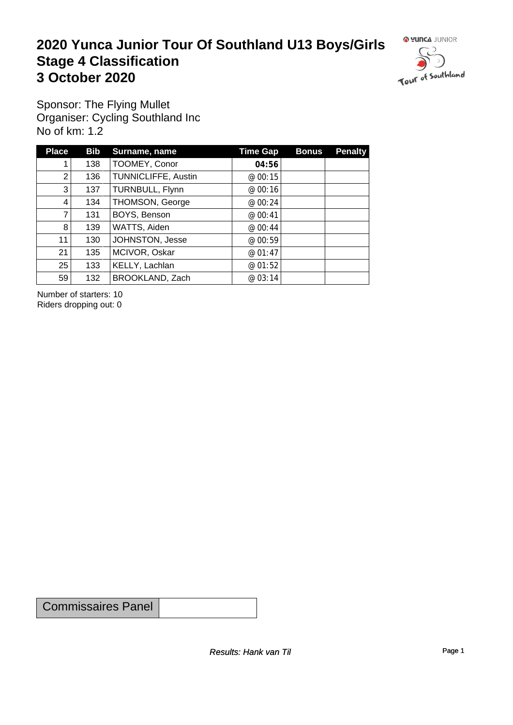#### **2020 Yunca Junior Tour Of Southland U13 Boys/Girls** Stage 4 Classification<br>
3 October 2020 **3 October 2020**



Sponsor: The Flying Mullet Organiser: Cycling Southland Inc No of km: 1.2

| <b>Place</b> | <b>Bib</b> | Surname, name       | Time Gap | <b>Bonus</b> | <b>Penalty</b> |
|--------------|------------|---------------------|----------|--------------|----------------|
|              | 138        | TOOMEY, Conor       | 04:56    |              |                |
| 2            | 136        | TUNNICLIFFE, Austin | @ 00:15  |              |                |
| 3            | 137        | TURNBULL, Flynn     | @00:16   |              |                |
| 4            | 134        | THOMSON, George     | @ 00:24  |              |                |
|              | 131        | BOYS, Benson        | @ 00:41  |              |                |
| 8            | 139        | WATTS, Aiden        | @ 00:44  |              |                |
| 11           | 130        | JOHNSTON, Jesse     | @ 00:59  |              |                |
| 21           | 135        | MCIVOR, Oskar       | @ 01:47  |              |                |
| 25           | 133        | KELLY, Lachlan      | @ 01:52  |              |                |
| 59           | 132        | BROOKLAND, Zach     | @ 03:14  |              |                |

Number of starters: 10 Riders dropping out: 0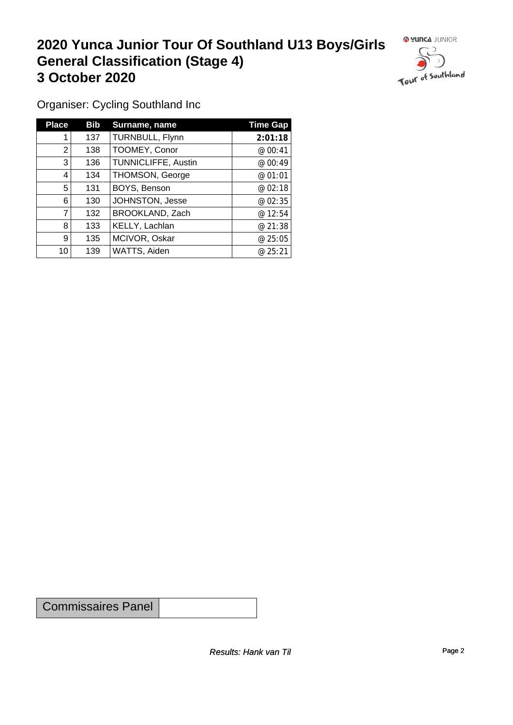## **2020 Yunca Junior Tour Of Southland U13 Boys/Girls General Classification (Stage 4)**<br> **3 October 2020 3 October 2020**

 $\circ$ 

Organiser: Cycling Southland Inc

| <b>Place</b> | <b>Bib</b> | Surname, name              | <b>Time Gap</b> |
|--------------|------------|----------------------------|-----------------|
|              | 137        | TURNBULL, Flynn            | 2:01:18         |
| 2            | 138        | TOOMEY, Conor              | @ 00:41         |
| 3            | 136        | <b>TUNNICLIFFE, Austin</b> | @00:49          |
| 4            | 134        | THOMSON, George            | @ 01:01         |
| 5            | 131        | BOYS, Benson               | @02:18          |
| 6            | 130        | JOHNSTON, Jesse            | @ 02:35         |
| 7            | 132        | BROOKLAND, Zach            | @12:54          |
| 8            | 133        | KELLY, Lachlan             | @ 21:38         |
| 9            | 135        | MCIVOR, Oskar              | @ 25:05         |
| 10           | 139        | WATTS, Aiden               | @ 25:21         |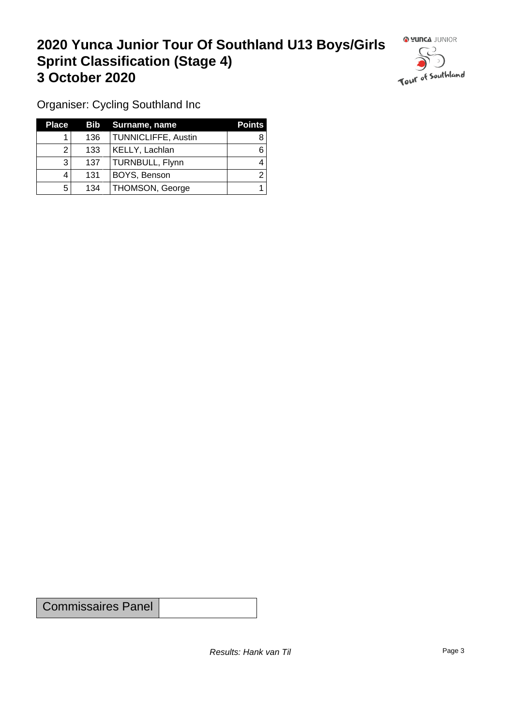### **2020 Yunca Junior Tour Of Southland U13 Boys/Girls Sprint Classification (Stage 4) 3 October 2020 1999 1999 1999 1999 1999 1999 1999 1999 1999 1999 1999 1999 1999 1999 1999 1999 1999 1999 1999 1999 1999 1999 1999 1999 1999 1999 1999 1999 1999 1**



Organiser: Cycling Southland Inc

| <b>Place</b> |     | Bib Surname, name      | <b>Points</b> |
|--------------|-----|------------------------|---------------|
|              | 136 | TUNNICLIFFE, Austin    |               |
|              | 133 | KELLY, Lachlan         |               |
| 3            | 137 | TURNBULL, Flynn        |               |
|              | 131 | BOYS, Benson           |               |
| 5            | 134 | <b>THOMSON, George</b> |               |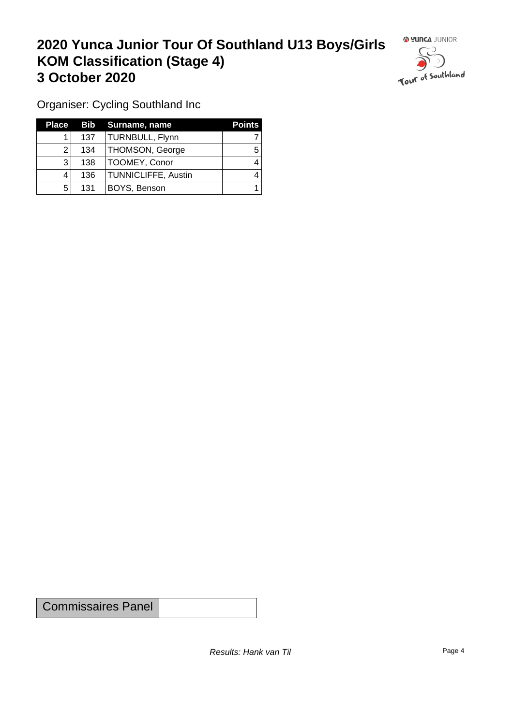### **2020 Yunca Junior Tour Of Southland U13 Boys/Girls KOM Classification (Stage 4) 3 October 2020**



Organiser: Cycling Southland Inc

| Place |     | <b>Bib</b> Surname, name   | <b>Points</b> |
|-------|-----|----------------------------|---------------|
|       | 137 | TURNBULL, Flynn            |               |
| ົ     | 134 | THOMSON, George            | 5             |
| າ     | 138 | TOOMEY, Conor              |               |
|       | 136 | <b>TUNNICLIFFE, Austin</b> |               |
| 5     | 131 | BOYS, Benson               |               |